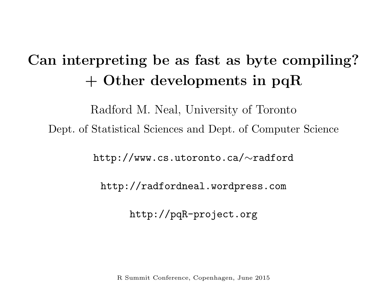# Can interpreting be as fast as byte compiling? + Other developments in pqR

Radford M. Neal, University of Toronto Dept. of Statistical Sciences and Dept. of Computer Science

<code>http://www.cs.utoronto.ca/ $\sim$ radford</code>

http://radfordneal.wordpress.com

http://pqR-project.org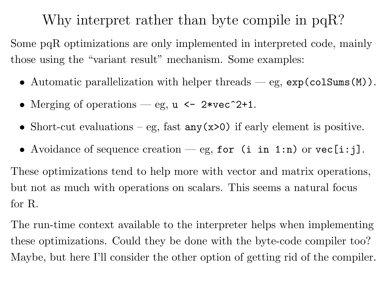# Why interpret rather than byte compile in pqR?

Some pqR optimizations are only implemented in interpreted code, mainly those using the "variant result" mechanism. Some examples:

- Automatic parallelization with helper threads eg,  $exp(colSums(M))$ .
- Merging of operations eg,  $u \le -2* \text{vec}^2+1$ .
- Short-cut evaluations eg, fast  $any(x>0)$  if early element is positive.
- Avoidance of sequence creation eg, for (i in 1:n) or  $vec[i:j]$ .

These optimizations tend to help more with vector and matrix operations, but not as much with operations on scalars. This seems <sup>a</sup> natural focus for R.

The run-time context available to the interpreter helps when implementing these optimizations. Could they be done with the byte-code compiler too? Maybe, but here I'll consider the other option of getting rid of the compiler.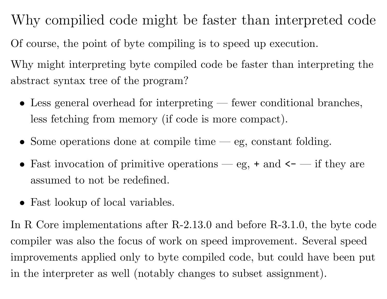Why compilied code might be faster than interpreted code Of course, the point of byte compiling is to speed up execution.

Why might interpreting byte compiled code be faster than interpreting the abstract syntax tree of the program?

- Less general overhead for interpreting fewer conditional branches, less fetching from memory (if code is more compact).
- Some operations done at compile time eg, constant folding.
- Fast invocation of primitive operations eg,  $+$  and  $\leftarrow$  if they are assumed to not be redefined.
- Fast lookup of local variables.

In R Core implementations after R-2.13.0 and before R-3.1.0, the byte code compiler was also the focus of work on speed improvement. Several speed improvements applied only to byte compiled code, but could have been put in the interpreter as well (notably changes to subset assignment).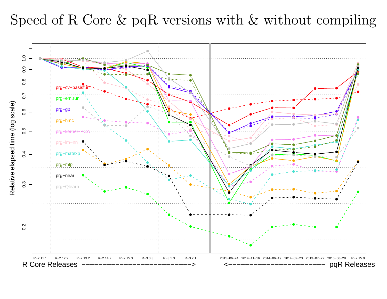## Speed of R Core & pqR versions with & without compiling

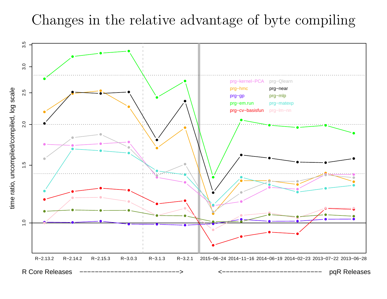## Changes in the relative advantage of byte compiling

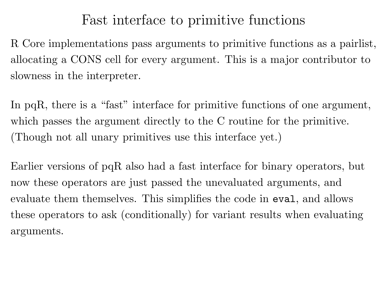#### Fast interface to primitive functions

R Core implementations pass arguments to primitive functions as <sup>a</sup> pairlist, allocating <sup>a</sup> CONS cell for every argument. This is <sup>a</sup> major contributor to slowness in the interpreter.

In pqR, there is a "fast" interface for primitive functions of one argument, which passes the argument directly to the C routine for the primitive. (Though not all unary primitives use this interface yet.)

Earlier versions of pqR also had <sup>a</sup> fast interface for binary operators, but now these operators are just passed the unevaluated arguments, and evaluate them themselves. This simplifies the code in eval, and allows these operators to ask (conditionally) for variant results when evaluating arguments.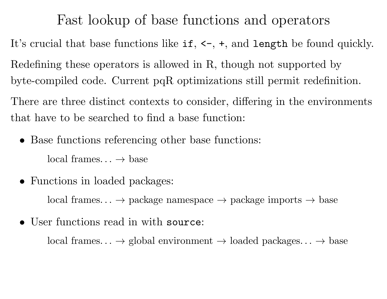Fast lookup of base functions and operators

It's crucial that base functions like if,  $\leftarrow$ ,  $+$ , and length be found quickly.

Redefining these operators is allowed in R, though not supported by

byte-compiled code. Current pqR optimizations still permit redefinition.

There are three distinct contexts to consider, differing in the environments that have to be searched to find <sup>a</sup> base function:

• Base functions referencing other base functions:

 $local frames... \rightarrow base$ 

• Functions in loaded packages:

 $local frames... \rightarrow package$  namespace  $\rightarrow$  package imports  $\rightarrow$  base

• User functions read in with source:

 $local frames... \rightarrow global environment \rightarrow loaded packages... \rightarrow base$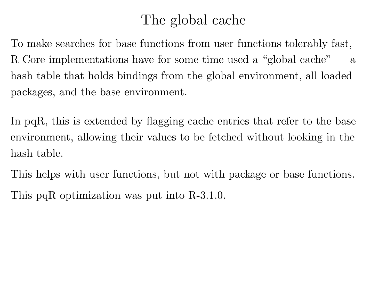## The global cache

To make searches for base functions from user functions tolerably fast, R Core implementations have for some time used <sup>a</sup> "global cache" — <sup>a</sup> hash table that holds bindings from the global environment, all loaded packages, and the base environment.

In pqR, this is extended by flagging cache entries that refer to the base environment, allowing their values to be fetched without looking in the hash table.

This helps with user functions, but not with package or base functions.

This pqR optimization was put into R-3.1.0.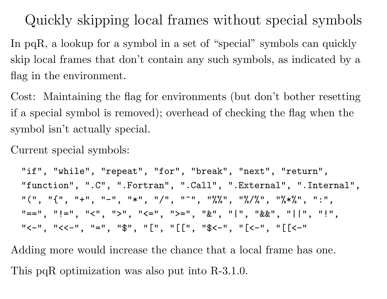Quickly skipping local frames without special symbols

In pqR, a lookup for a symbol in a set of "special" symbols can quickly skip local frames that don't contain any such symbols, as indicated by a flag in the environment.

Cost: Maintaining the flag for environments (but don't bother resetting if <sup>a</sup> special symbol is removed); overhead of checking the flag when the symbol isn't actually special.

Current special symbols:

"if", "while", "repeat", "for", "break", "next", "return", "function", ".C", ".Fortran", ".Call", ".External", ".Internal", "(", "{", "+", "-", "\*", "/", "^", "%%", "%/%", "%\*%", ":",  $T = T$ ,  $T = T$ ,  $T = T$ ,  $T = T$ ,  $T = T$ ,  $T = T$ ,  $T = T$ ,  $T = T$ ,  $T = T$ ,  $T = T$ ,  $T = T$ ,  $T = T$ ,  $T = T$ ,  $T = T$ ,  $T = T$ ,  $T = T$ ,  $T = T$ ,  $T = T$ ,  $T = T$ ,  $T = T$ ,  $T = T$ ,  $T = T$ ,  $T = T$ ,  $T = T$ ,  $T = T$ ,  $T = T$ ,  $T = T$ ,  $T = T$ ,  $T = T$ ,  $T = T$ ,  $T = T$ ,  $T = T$  $"$ <-", "<<-", "=", "\$", "[[", " $[$ [[", "\$<-", "[<-", "[[<-"

Adding more would increase the chance that <sup>a</sup> local frame has one. This pqR optimization was also put into R-3.1.0.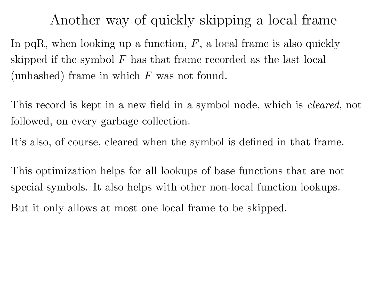Another way of quickly skipping <sup>a</sup> local frame

In pqR, when looking up a function,  $F$ , a local frame is also quickly skipped if the symbol  $F$  has that frame recorded as the last local (unhashed) frame in which  $F$  was not found.

This record is kept in a new field in a symbol node, which is *cleared*, not followed, on every garbage collection.

It's also, of course, cleared when the symbol is defined in that frame.

This optimization helps for all lookups of base functions that are not special symbols. It also helps with other non-local function lookups.

But it only allows at most one local frame to be skipped.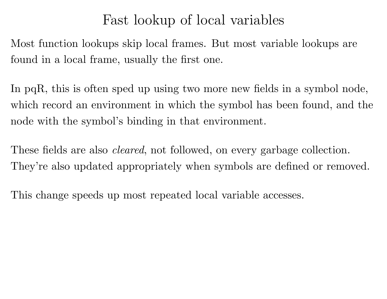## Fast lookup of local variables

Most function lookups skip local frames. But most variable lookups are found in <sup>a</sup> local frame, usually the first one.

In pqR, this is often sped up using two more new fields in <sup>a</sup> symbol node, which record an environment in which the symbol has been found, and th e node with the symbol's binding in that environment.

These fields are also *cleared*, not followed, on every garbage collection. They're also updated appropriately when symbols are defined or removed.

This change speeds up most repeated local variable accesses.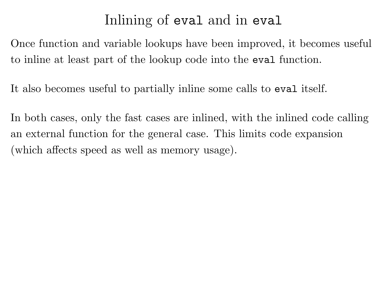## Inlining of eval and in eval

Once function and variable lookups have been improved, it becomes useful to inline at least part of the lookup code into the eval function.

It also becomes useful to partially inline some calls to eval itself.

In both cases, only the fast cases are inlined, with the inlined code calling an external function for the general case. This limits code expansion (which affects speed as well as memory usage).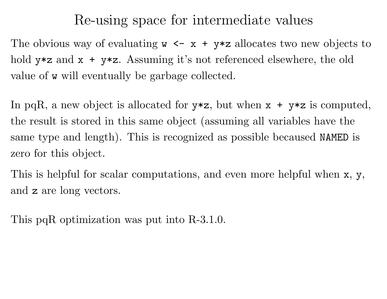#### Re-using space for intermediate values

The obvious way of evaluating  $w \leq x + y \leq 2$  allocates two new objects to hold  $y \star z$  and  $x + y \star z$ . Assuming it's not referenced elsewhere, the old value of <sup>w</sup> will eventually be garbage collected.

In pqR, a new object is allocated for  $y \ast z$ , but when  $x + y \ast z$  is computed, the result is stored in this same object (assuming all variables have the same type and length). This is recognized as possible becaused NAMED is zero for this object.

This is helpful for scalar computations, and even more helpful when <sup>x</sup>, y, and <sup>z</sup> are long vectors.

This pqR optimization was put into R-3.1.0.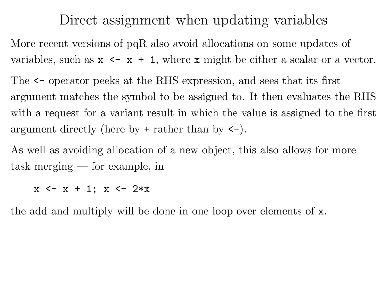#### Direct assignment when updating variables

More recent versions of pqR also avoid allocations on some updates of variables, such as  $x \leq x + 1$ , where x might be either a scalar or a vector.

The <- operator peeks at the RHS expression, and sees that its first argument matches the symbol to be assigned to. It then evaluates the RHS with a request for a variant result in which the value is assigned to the first argument directly (here by <sup>+</sup> rather than by <-).

As well as avoiding allocation of <sup>a</sup> new object, this also allows for more task merging — for example, in

 $x \leftarrow x + 1$ ;  $x \leftarrow 2*x$ 

the add and multiply will be done in one loop over elements of x.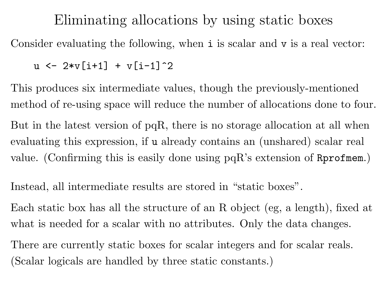#### Eliminating allocations by using static boxes

Consider evaluating the following, when **i** is scalar and **v** is a real vector:

```
u \le -2*v[i+1] + v[i-1]^2
```
This produces six intermediate values, though the previously-mentioned method of re-using space will reduce the number of allocations done to four. But in the latest version of pqR, there is no storage allocation at all when evaluating this expression, if <sup>u</sup> already contains an (unshared) scalar real value. (Confirming this is easily done using  $pqR$ 's extension of  $Rprofmem$ .)

Instead, all intermediate results are stored in "static boxes".

Each static box has all the structure of an R object (eg, <sup>a</sup> length), fixed at what is needed for a scalar with no attributes. Only the data changes.

There are currently static boxes for scalar integers and for scalar reals. (Scalar logicals are handled by three static constants.)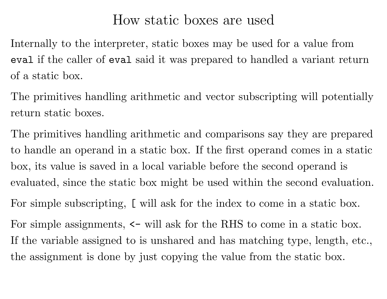#### How static boxes are used

Internally to the interpreter, static boxes may be used for a value from eval if the caller of eval said it was prepared to handled <sup>a</sup> variant return of <sup>a</sup> static box.

The primitives handling arithmetic and vector subscripting will potentially return static boxes.

The primitives handling arithmetic and comparisons say they are prepared to handle an operand in <sup>a</sup> static box. If the first operand comes in <sup>a</sup> static box, its value is saved in <sup>a</sup> local variable before the second operand is evaluated, since the static box might be used within the second evaluation.

For simple subscripting, [ will ask for the index to come in <sup>a</sup> static box.

For simple assignments,  $\le$  will ask for the RHS to come in a static box. If the variable assigned to is unshared and has matching type, length, etc., the assignment is done by just copying the value from the static box.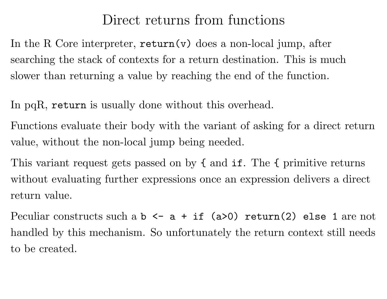## Direct returns from functions

In the R Core interpreter,  $return(v)$  does a non-local jump, after searching the stack of contexts for <sup>a</sup> return destination. This is muc h slower than returning <sup>a</sup> value by reaching the end of the function.

In pqR, return is usually done without this overhead.

Functions evaluate their body with the variant of asking for a direct return value, without the non-local jump being needed.

This variant request gets passed on by { and if. The { primitive returns without evaluating further expressions once an expression delivers <sup>a</sup> direct return value.

Peculiar constructs such a  $b \leq a + if (a>0)$  return(2) else 1 are not handled by this mechanism. So unfortunately the return context still needs to be created.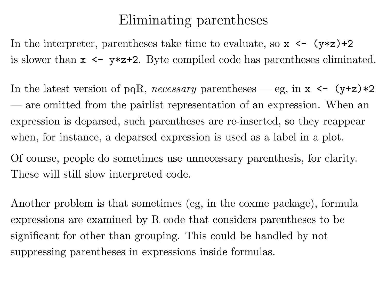## Eliminating parentheses

In the interpreter, parentheses take time to evaluate, so  $x \leftarrow (y \ast z) + 2$ is slower than  $x \leq y \cdot z + 2$ . Byte compiled code has parentheses eliminated.

In the latest version of pqR, *necessary* parentheses — eg, in  $x \leftarrow (y+z)*2$ — are omitted from the pairlist representation of an expression. When an expression is deparsed, such parentheses are re-inserted, so they reappear when, for instance, <sup>a</sup> deparsed expression is used as <sup>a</sup> label in <sup>a</sup> plot.

Of course, people do sometimes use unnecessary parenthesis, for clarity. These will still slow interpreted code.

Another problem is that sometimes (eg, in the coxme package), formula expressions are examined by R code that considers parentheses to be significant for other than grouping. This could be handled by not suppressing parentheses in expressions inside formulas.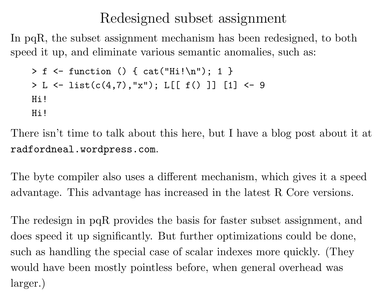## Redesigned subset assignment

In pqR, the subset assignment mechanism has been redesigned, to bot h speed it up, and eliminate various semantic anomalies, such as:

```
> f <- function () { cat("Hi! \n''); 1 }
> L \leftarrow list(c(4,7), "x"); L[[ f() ]] [1] <- 9
Hi!
Hi!
```
There isn't time to talk about this here, but I have <sup>a</sup> blog post about it at radfordneal.wordpress.com.

The byte compiler also uses a different mechanism, which gives it a speed advantage. This advantage has increased in the latest R Core versions.

The redesign in pqR provides the basis for faster subset assignment, and does speed it up significantly. But further optimizations could be done, such as handling the special case of scalar indexes more quickly. (They would have been mostly pointless before, when general overhead was larger.)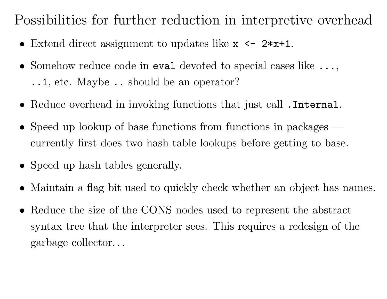Possibilities for further reduction in interpretive overhead

- Extend direct assignment to updates like  $x \le -2*x+1$ .
- Somehow reduce code in eval devoted to special cases like ..., ..1, etc. Maybe .. should be an operator?
- Reduce overhead in invoking functions that just call .Internal.
- Speed up lookup of base functions from functions in packages currently first does two hash table lookups before getting to base.
- Speed up hash tables generally.
- Maintain a flag bit used to quickly check whether an object has names.
- Reduce the size of the CONS nodes used to represent the abstract syntax tree that the interpreter sees. This requires <sup>a</sup> redesign of the garbage collector. . .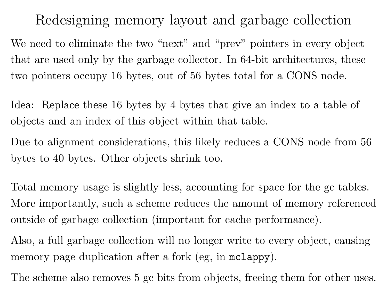Redesigning memory layout and garbage collection

We need to eliminate the two "next" and "prev" pointers in every object that are used only by the garbage collector. In 64-bit architectures, thes e two pointers occupy 16 bytes, out of 56 bytes total for <sup>a</sup> CONS node.

Idea: Replace these 16 bytes by 4 bytes that give an index to <sup>a</sup> table of objects and an index of this object within that table.

Due to alignment considerations, this likely reduces a CONS node from 56 bytes to 40 bytes. Other objects shrink too.

Total memory usage is slightly less, accounting for space for the gc tables. More importantly, such a scheme reduces the amount of memory referenced outside of garbage collection (important for cache performance).

Also, a full garbage collection will no longer write to every object, causing memory page duplication after a fork (eg, in mclappy).

The scheme also removes 5 gc bits from objects, freeing them for other uses.